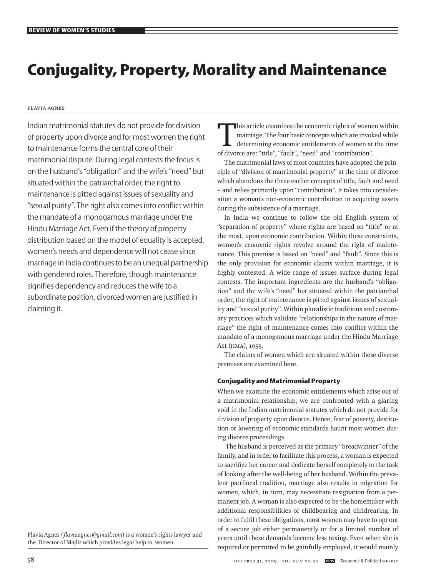# **Conjugality, Property, Morality and Maintenance**

Flavia Agnes

Indian matrimonial statutes do not provide for division of property upon divorce and for most women the right to maintenance forms the central core of their matrimonial dispute. During legal contests the focus is on the husband's "obligation" and the wife's "need" but situated within the patriarchal order, the right to maintenance is pitted against issues of sexuality and "sexual purity". The right also comes into conflict within the mandate of a monogamous marriage under the Hindu Marriage Act. Even if the theory of property distribution based on the model of equality is accepted, women's needs and dependence will not cease since marriage in India continues to be an unequal partnership with gendered roles. Therefore, though maintenance signifies dependency and reduces the wife to a subordinate position, divorced women are justified in claiming it.

Flavia Agnes (*flaviaagnes@gmail.com*) is a women's rights lawyer and the Director of Majlis which provides legal help to women.

This article examines the economic rights of women within<br>
marriage. The four basic concepts which are invoked while<br>
determining economic entitlements of women at the time<br>
of divages are "title" "good" and "contribution" marriage. The four basic concepts which are invoked while of divorce are: "title", "fault", "need" and "contribution".

The matrimonial laws of most countries have adopted the principle of "division of matrimonial property" at the time of divorce which abandons the three earlier concepts of title, fault and need – and relies primarily upon "contribution". It takes into consideration a woman's non-economic contribution in acquiring assets during the subsistence of a marriage.

In India we continue to follow the old English system of "separation of property" where rights are based on "title" or at the most, upon economic contribution. Within these constraints, women's economic rights revolve around the right of maintenance. This premise is based on "need" and "fault". Since this is the only provision for economic claims within marriage, it is highly contested. A wide range of issues surface during legal contests. The important ingredients are the husband's "obligation" and the wife's "need" but situated within the patriarchal order, the right of maintenance is pitted against issues of sexuality and "sexual purity". Within pluralistic traditions and customary practices which validate "relationships in the nature of marriage" the right of maintenance comes into conflict within the mandate of a monogamous marriage under the Hindu Marriage Act (HMA), 1955.

The claims of women which are situated within these diverse premises are examined here.

## **Conjugality and Matrimonial Property**

When we examine the economic entitlements which arise out of a matrimonial relationship, we are confronted with a glaring void in the Indian matrimonial statutes which do not provide for division of property upon divorce. Hence, fear of poverty, destitution or lowering of economic standards haunt most women during divorce proceedings.

 The husband is perceived as the primary "breadwinner" of the family, and in order to facilitate this process, a woman is expected to sacrifice her career and dedicate herself completely to the task of looking after the well-being of her husband. Within the prevalent patrilocal tradition, marriage also results in migration for women, which, in turn, may necessitate resignation from a permanent job. A woman is also expected to be the homemaker with additional responsibilities of childbearing and childrearing. In order to fulfil these obligations, most women may have to opt out of a secure job either permanently or for a limited number of years until these demands become less taxing. Even when she is required or permitted to be gainfully employed, it would mainly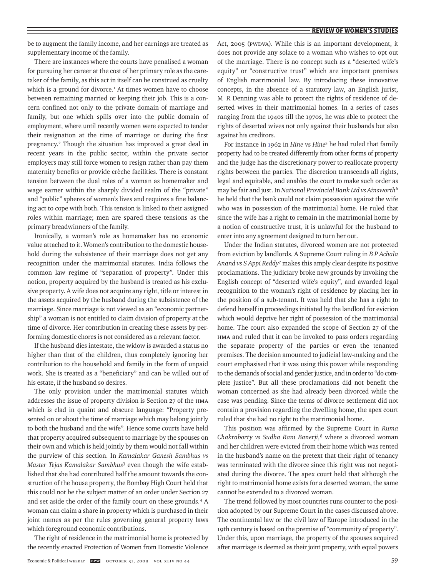be to augment the family income, and her earnings are treated as supplementary income of the family.

There are instances where the courts have penalised a woman for pursuing her career at the cost of her primary role as the caretaker of the family, as this act in itself can be construed as cruelty which is a ground for divorce.<sup>1</sup> At times women have to choose between remaining married or keeping their job. This is a concern confined not only to the private domain of marriage and family, but one which spills over into the public domain of employment, where until recently women were expected to tender their resignation at the time of marriage or during the first pregnancy.<sup>2</sup> Though the situation has improved a great deal in recent years in the public sector, within the private sector employers may still force women to resign rather than pay them maternity benefits or provide crèche facilities. There is constant tension between the dual roles of a woman as homemaker and wage earner within the sharply divided realm of the "private" and "public" spheres of women's lives and requires a fine balancing act to cope with both. This tension is linked to their assigned roles within marriage; men are spared these tensions as the primary breadwinners of the family.

Ironically, a woman's role as homemaker has no economic value attached to it. Women's contribution to the domestic household during the subsistence of their marriage does not get any recognition under the matrimonial statutes. India follows the common law regime of "separation of property". Under this notion, property acquired by the husband is treated as his exclusive property. A wife does not acquire any right, title or interest in the assets acquired by the husband during the subsistence of the marriage. Since marriage is not viewed as an "economic partnership" a woman is not entitled to claim division of property at the time of divorce. Her contribution in creating these assets by performing domestic chores is not considered as a relevant factor.

If the husband dies intestate, the widow is awarded a status no higher than that of the children, thus completely ignoring her contribution to the household and family in the form of unpaid work. She is treated as a "beneficiary" and can be willed out of his estate, if the husband so desires.

The only provision under the matrimonial statutes which addresses the issue of property division is Section 27 of the HMA which is clad in quaint and obscure language: "Property presented on or about the time of marriage which may belong jointly to both the husband and the wife". Hence some courts have held that property acquired subsequent to marriage by the spouses on their own and which is held jointly by them would not fall within the purview of this section. In *Kamalakar Ganesh Sambhus vs Master Tejas Kamalakar Sambhus*<sup>3</sup> even though the wife established that she had contributed half the amount towards the construction of the house property, the Bombay High Court held that this could not be the subject matter of an order under Section 27 and set aside the order of the family court on these grounds.<sup>4</sup> A woman can claim a share in property which is purchased in their joint names as per the rules governing general property laws which foreground economic contributions.

The right of residence in the matrimonial home is protected by the recently enacted Protection of Women from Domestic Violence Act, 2005 (PWDVA). While this is an important development, it does not provide any solace to a woman who wishes to opt out of the marriage. There is no concept such as a "deserted wife's equity" or "constructive trust" which are important premises of English matrimonial law. By introducing these innovative concepts, in the absence of a statutory law, an English jurist, M R Denning was able to protect the rights of residence of deserted wives in their matrimonial homes. In a series of cases ranging from the 1940s till the 1970s, he was able to protect the rights of deserted wives not only against their husbands but also against his creditors.

For instance in 1962 in *Hine* vs *Hine*<sup>5</sup> he had ruled that family property had to be treated differently from other forms of property and the judge has the discretionary power to reallocate property rights between the parties. The discretion transcends all rights, legal and equitable, and enables the court to make such order as may be fair and just. In *National Provincial Bank Ltd vs Ainsworth*<sup>6</sup> he held that the bank could not claim possession against the wife who was in possession of the matrimonial home. He ruled that since the wife has a right to remain in the matrimonial home by a notion of constructive trust, it is unlawful for the husband to enter into any agreement designed to turn her out.

Under the Indian statutes, divorced women are not protected from eviction by landlords. A Supreme Court ruling in *B P Achala Anand vs S Appi Reddy*<sup>7</sup> makes this amply clear despite its positive proclamations. The judiciary broke new grounds by invoking the English concept of "deserted wife's equity", and awarded legal recognition to the woman's right of residence by placing her in the position of a sub-tenant. It was held that she has a right to defend herself in proceedings initiated by the landlord for eviction which would deprive her right of possession of the matrimonial home. The court also expanded the scope of Section 27 of the HMA and ruled that it can be invoked to pass orders regarding the separate property of the parties or even the tenanted premises. The decision amounted to judicial law-making and the court emphasised that it was using this power while responding to the demands of social and gender justice, and in order to "do complete justice". But all these proclamations did not benefit the woman concerned as she had already been divorced while the case was pending. Since the terms of divorce settlement did not contain a provision regarding the dwelling home, the apex court ruled that she had no right to the matrimonial home.

This position was affirmed by the Supreme Court in *Ruma Chakraborty vs Sudha Rani Banerji,*<sup>8</sup> where a divorced woman and her children were evicted from their home which was rented in the husband's name on the pretext that their right of tenancy was terminated with the divorce since this right was not negotiated during the divorce. The apex court held that although the right to matrimonial home exists for a deserted woman, the same cannot be extended to a divorced woman.

The trend followed by most countries runs counter to the position adopted by our Supreme Court in the cases discussed above. The continental law or the civil law of Europe introduced in the 19th century is based on the premise of "community of property". Under this, upon marriage, the property of the spouses acquired after marriage is deemed as their joint property, with equal powers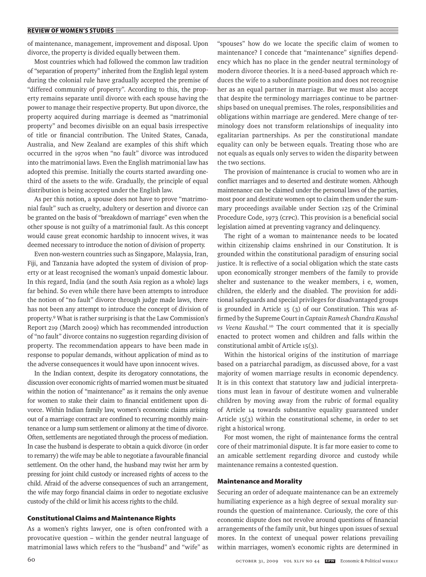of maintenance, management, improvement and disposal. Upon divorce, the property is divided equally between them.

Most countries which had followed the common law tradition of "separation of property" inherited from the English legal system during the colonial rule have gradually accepted the premise of "differed community of property". According to this, the property remains separate until divorce with each spouse having the power to manage their respective property. But upon divorce, the property acquired during marriage is deemed as "matrimonial property" and becomes divisible on an equal basis irrespective of title or financial contribution. The United States, Canada, Australia, and New Zealand are examples of this shift which occurred in the 1970s when "no fault" divorce was introduced into the matrimonial laws. Even the English matrimonial law has adopted this premise. Initially the courts started awarding onethird of the assets to the wife. Gradually, the principle of equal distribution is being accepted under the English law.

As per this notion, a spouse does not have to prove "matrimonial fault" such as cruelty, adultery or desertion and divorce can be granted on the basis of "breakdown of marriage" even when the other spouse is not guilty of a matrimonial fault. As this concept would cause great economic hardship to innocent wives, it was deemed necessary to introduce the notion of division of property.

Even non-western countries such as Singapore, Malaysia, Iran, Fiji, and Tanzania have adopted the system of division of property or at least recognised the woman's unpaid domestic labour. In this regard, India (and the south Asia region as a whole) lags far behind. So even while there have been attempts to introduce the notion of "no fault" divorce through judge made laws, there has not been any attempt to introduce the concept of division of property.9 What is rather surprising is that the Law Commission's Report 219 (March 2009) which has recommended introduction of "no fault" divorce contains no suggestion regarding division of property. The recommendation appears to have been made in response to popular demands, without application of mind as to the adverse consequences it would have upon innocent wives.

In the Indian context, despite its derogatory connotations, the discussion over economic rights of married women must be situated within the notion of "maintenance" as it remains the only avenue for women to stake their claim to financial entitlement upon divorce. Within Indian family law, women's economic claims arising out of a marriage contract are confined to recurring monthly maintenance or a lump sum settlement or alimony at the time of divorce. Often, settlements are negotiated through the process of mediation. In case the husband is desperate to obtain a quick divorce (in order to remarry) the wife may be able to negotiate a favourable financial settlement. On the other hand, the husband may twist her arm by pressing for joint child custody or increased rights of access to the child. Afraid of the adverse consequences of such an arrangement, the wife may forgo financial claims in order to negotiate exclusive custody of the child or limit his access rights to the child.

## **Constitutional Claims and Maintenance Rights**

As a women's rights lawyer, one is often confronted with a provocative question – within the gender neutral language of matrimonial laws which refers to the "husband" and "wife" as "spouses" how do we locate the specific claim of women to maintenance? I concede that "maintenance" signifies dependency which has no place in the gender neutral terminology of modern divorce theories. It is a need-based approach which reduces the wife to a subordinate position and does not recognise her as an equal partner in marriage. But we must also accept that despite the terminology marriages continue to be partnerships based on unequal premises. The roles, responsibilities and obligations within marriage are gendered. Mere change of terminology does not transform relationships of inequality into egalitarian partnerships. As per the constitutional mandate equality can only be between equals. Treating those who are not equals as equals only serves to widen the disparity between the two sections.

The provision of maintenance is crucial to women who are in conflict marriages and to deserted and destitute women. Although maintenance can be claimed under the personal laws of the parties, most poor and destitute women opt to claim them under the summary proceedings available under Section 125 of the Criminal Procedure Code, 1973 (CrPC). This provision is a beneficial social legislation aimed at preventing vagrancy and delinquency.

The right of a woman to maintenance needs to be located within citizenship claims enshrined in our Constitution. It is grounded within the constitutional paradigm of ensuring social justice. It is reflective of a social obligation which the state casts upon economically stronger members of the family to provide shelter and sustenance to the weaker members, i e, women, children, the elderly and the disabled. The provision for additional safeguards and special privileges for disadvantaged groups is grounded in Article 15 (3) of our Constitution. This was affirmed by the Supreme Court in *Captain Ramesh Chandra Kaushal vs Veena Kaushal.*<sup>10</sup> The court commented that it is specially enacted to protect women and children and falls within the constitutional ambit of Article 15(3).

Within the historical origins of the institution of marriage based on a patriarchal paradigm, as discussed above, for a vast majority of women marriage results in economic dependency. It is in this context that statutory law and judicial interpretations must lean in favour of destitute women and vulnerable children by moving away from the rubric of formal equality of Article 14 towards substantive equality guaranteed under Article 15(3) within the constitutional scheme, in order to set right a historical wrong.

For most women, the right of maintenance forms the central core of their matrimonial dispute. It is far more easier to come to an amicable settlement regarding divorce and custody while maintenance remains a contested question.

#### **Maintenance and Morality**

Securing an order of adequate maintenance can be an extremely humiliating experience as a high degree of sexual morality surrounds the question of maintenance. Curiously, the core of this economic dispute does not revolve around questions of financial arrangements of the family unit, but hinges upon issues of sexual mores. In the context of unequal power relations prevailing within marriages, women's economic rights are determined in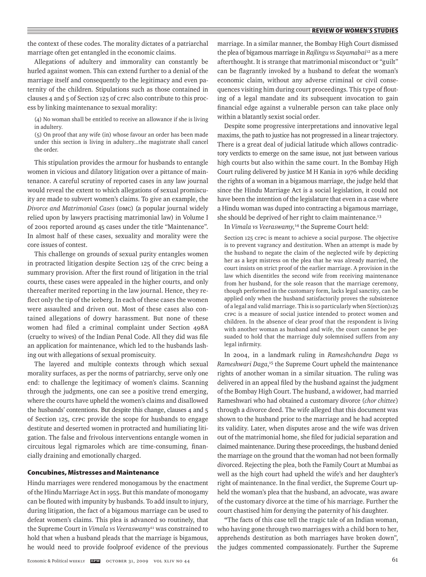the context of these codes. The morality dictates of a patriarchal marriage often get entangled in the economic claims.

Allegations of adultery and immorality can constantly be hurled against women. This can extend further to a denial of the marriage itself and consequently to the legitimacy and even paternity of the children. Stipulations such as those contained in clauses 4 and 5 of Section 125 of CrPC also contribute to this process by linking maintenance to sexual morality:

(4) No woman shall be entitled to receive an allowance if she is living in adultery.

(5) On proof that any wife (in) whose favour an order has been made under this section is living in adultery...the magistrate shall cancel the order.

This stipulation provides the armour for husbands to entangle women in vicious and dilatory litigation over a pittance of maintenance. A careful scrutiny of reported cases in any law journal would reveal the extent to which allegations of sexual promiscuity are made to subvert women's claims. To give an example, the *Divorce and Matrimonial Cases* (DMC) (a popular journal widely relied upon by lawyers practising matrimonial law) in Volume I of 2001 reported around 45 cases under the title "Maintenance". In almost half of these cases, sexuality and morality were the core issues of contest.

This challenge on grounds of sexual purity entangles women in protracted litigation despite Section 125 of the CrPC being a summary provision. After the first round of litigation in the trial courts, these cases were appealed in the higher courts, and only thereafter merited reporting in the law journal. Hence, they reflect only the tip of the iceberg. In each of these cases the women were assaulted and driven out. Most of these cases also contained allegations of dowry harassment. But none of these women had filed a criminal complaint under Section 498A (cruelty to wives) of the Indian Penal Code. All they did was file an application for maintenance, which led to the husbands lashing out with allegations of sexual promiscuity.

The layered and multiple contexts through which sexual morality surfaces, as per the norms of patriarchy, serve only one end: to challenge the legitimacy of women's claims. Scanning through the judgments, one can see a positive trend emerging, where the courts have upheld the women's claims and disallowed the husbands' contentions. But despite this change, clauses 4 and 5 of Section 125, CrPC provide the scope for husbands to engage destitute and deserted women in protracted and humiliating litigation. The false and frivolous interventions entangle women in circuitous legal rigmaroles which are time-consuming, financially draining and emotionally charged.

#### **Concubines, Mistresses and Maintenance**

Hindu marriages were rendered monogamous by the enactment of the Hindu Marriage Act in 1955. But this mandate of monogamy can be flouted with impunity by husbands. To add insult to injury, during litigation, the fact of a bigamous marriage can be used to defeat women's claims. This plea is advanced so routinely, that the Supreme Court in *Vimala vs Veeraswamy*<sup>11</sup> was constrained to hold that when a husband pleads that the marriage is bigamous, he would need to provide foolproof evidence of the previous marriage. In a similar manner, the Bombay High Court dismissed the plea of bigamous marriage in *Rajlingu vs Sayamabai*12 as a mere afterthought. It is strange that matrimonial misconduct or "guilt" can be flagrantly invoked by a husband to defeat the woman's economic claim, without any adverse criminal or civil consequences visiting him during court proceedings. This type of flouting of a legal mandate and its subsequent invocation to gain financial edge against a vulnerable person can take place only within a blatantly sexist social order.

Despite some progressive interpretations and innovative legal maxims, the path to justice has not progressed in a linear trajectory. There is a great deal of judicial latitude which allows contradictory verdicts to emerge on the same issue, not just between various high courts but also within the same court. In the Bombay High Court ruling delivered by justice M H Kania in 1976 while deciding the rights of a woman in a bigamous marriage, the judge held that since the Hindu Marriage Act is a social legislation, it could not have been the intention of the legislature that even in a case where a Hindu woman was duped into contracting a bigamous marriage, she should be deprived of her right to claim maintenance.<sup>13</sup>

In *Vimala vs Veeraswamy,*14 the Supreme Court held:

Section 125 CrPC is meant to achieve a social purpose. The objective is to prevent vagrancy and destitution. When an attempt is made by the husband to negate the claim of the neglected wife by depicting her as a kept mistress on the plea that he was already married, the court insists on strict proof of the earlier marriage. A provision in the law which disentitles the second wife from receiving maintenance from her husband, for the sole reason that the marriage ceremony, though performed in the customary form, lacks legal sanctity, can be applied only when the husband satisfactorily proves the subsistence of a legal and valid marriage. This is so particularly when S(ection)125 CrPC is a measure of social justice intended to protect women and children. In the absence of clear proof that the respondent is living with another woman as husband and wife, the court cannot be persuaded to hold that the marriage duly solemnised suffers from any legal infirmity.

In 2004, in a landmark ruling in *Rameshchandra Daga vs Rameshwari Daga*, 15 the Supreme Court upheld the maintenance rights of another woman in a similar situation. The ruling was delivered in an appeal filed by the husband against the judgment of the Bombay High Court. The husband, a widower, had married Rameshwari who had obtained a customary divorce (*chor chittee*) through a divorce deed. The wife alleged that this document was shown to the husband prior to the marriage and he had accepted its validity. Later, when disputes arose and the wife was driven out of the matrimonial home, she filed for judicial separation and claimed maintenance. During these proceedings, the husband denied the marriage on the ground that the woman had not been formally divorced. Rejecting the plea, both the Family Court at Mumbai as well as the high court had upheld the wife's and her daughter's right of maintenance. In the final verdict, the Supreme Court upheld the woman's plea that the husband, an advocate, was aware of the customary divorce at the time of his marriage. Further the court chastised him for denying the paternity of his daughter.

**"**The facts of this case tell the tragic tale of an Indian woman, who having gone through two marriages with a child born to her, apprehends destitution as both marriages have broken down", the judges commented compassionately. Further the Supreme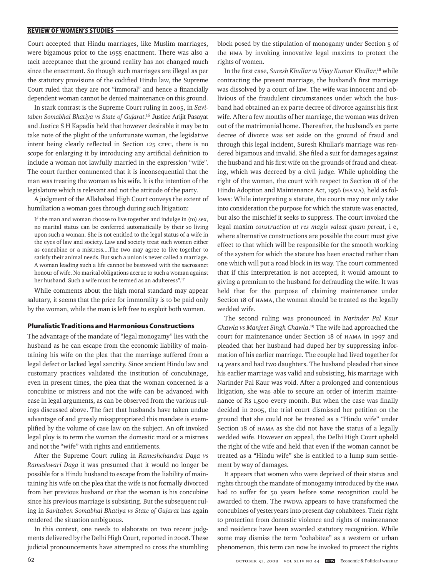Court accepted that Hindu marriages, like Muslim marriages, were bigamous prior to the 1955 enactment. There was also a tacit acceptance that the ground reality has not changed much since the enactment. So though such marriages are illegal as per the statutory provisions of the codified Hindu law, the Supreme Court ruled that they are not "immoral" and hence a financially dependent woman cannot be denied maintenance on this ground.

In stark contrast is the Supreme Court ruling in 2005, in *Savitaben Somabhai Bhatiya vs State of Gujarat*. 16 Justice Arijit Pasayat and Justice S H Kapadia held that however desirable it may be to take note of the plight of the unfortunate woman, the legislative intent being clearly reflected in Section 125 CrPC, there is no scope for enlarging it by introducing any artificial definition to include a woman not lawfully married in the expression "wife". The court further commented that it is inconsequential that the man was treating the woman as his wife. It is the intention of the legislature which is relevant and not the attitude of the party.

A judgment of the Allahabad High Court conveys the extent of humiliation a woman goes through during such litigation:

If the man and woman choose to live together and indulge in (to) sex, no marital status can be conferred automatically by their so living upon such a woman. She is not entitled to the legal status of a wife in the eyes of law and society. Law and society treat such women either as concubine or a mistress....The two may agree to live together to satisfy their animal needs. But such a union is never called a marriage. A woman leading such a life cannot be bestowed with the sacrosanct honour of wife. No marital obligations accrue to such a woman against her husband. Such a wife must be termed as an adulteress".<sup>17</sup>

While comments about the high moral standard may appear salutary, it seems that the price for immorality is to be paid only by the woman, while the man is left free to exploit both women.

## **Pluralistic Traditions and Harmonious Constructions**

The advantage of the mandate of "legal monogamy" lies with the husband as he can escape from the economic liability of maintaining his wife on the plea that the marriage suffered from a legal defect or lacked legal sanctity. Since ancient Hindu law and customary practices validated the institution of concubinage, even in present times, the plea that the woman concerned is a concubine or mistress and not the wife can be advanced with ease in legal arguments, as can be observed from the various rulings discussed above. The fact that husbands have taken undue advantage of and grossly misappropriated this mandate is exemplified by the volume of case law on the subject. An oft invoked legal ploy is to term the woman the domestic maid or a mistress and not the "wife" with rights and entitlements.

After the Supreme Court ruling in *Rameshchandra Daga vs Rameshwari Daga* it was presumed that it would no longer be possible for a Hindu husband to escape from the liability of maintaining his wife on the plea that the wife is not formally divorced from her previous husband or that the woman is his concubine since his previous marriage is subsisting. But the subsequent ruling in *Savitaben Somabhai Bhatiya vs State of Gujarat* has again rendered the situation ambiguous.

In this context, one needs to elaborate on two recent judgments delivered by the Delhi High Court, reported in 2008. These judicial pronouncements have attempted to cross the stumbling block posed by the stipulation of monogamy under Section 5 of the HMA by invoking innovative legal maxims to protect the rights of women.

In the first case, *Suresh Khullar vs Vijay Kumar Khullar*, <sup>18</sup> while contracting the present marriage, the husband's first marriage was dissolved by a court of law. The wife was innocent and oblivious of the fraudulent circumstances under which the husband had obtained an ex parte decree of divorce against his first wife. After a few months of her marriage, the woman was driven out of the matrimonial home. Thereafter, the husband's ex parte decree of divorce was set aside on the ground of fraud and through this legal incident, Suresh Khullar's marriage was rendered bigamous and invalid. She filed a suit for damages against the husband and his first wife on the grounds of fraud and cheating, which was decreed by a civil judge. While upholding the right of the woman, the court with respect to Section 18 of the Hindu Adoption and Maintenance Act, 1956 (HAMA), held as follows: While interpreting a statute, the courts may not only take into consideration the purpose for which the statute was enacted, but also the mischief it seeks to suppress. The court invoked the legal maxim *construction ut res magis valeat quam pereat*, i e, where alternative constructions are possible the court must give effect to that which will be responsible for the smooth working of the system for which the statute has been enacted rather than one which will put a road block in its way. The court commented that if this interpretation is not accepted, it would amount to giving a premium to the husband for defrauding the wife. It was held that for the purpose of claiming maintenance under Section 18 of HAMA, the woman should be treated as the legally wedded wife.

The second ruling was pronounced in *Narinder Pal Kaur Chawla vs Manjeet Singh Chawla*. 19 The wife had approached the court for maintenance under Section 18 of HAMA in 1997 and pleaded that her husband had duped her by suppressing information of his earlier marriage. The couple had lived together for 14 years and had two daughters. The husband pleaded that since his earlier marriage was valid and subsisting, his marriage with Narinder Pal Kaur was void. After a prolonged and contentious litigation, she was able to secure an order of interim maintenance of Rs 1,500 every month. But when the case was finally decided in 2005, the trial court dismissed her petition on the ground that she could not be treated as a "Hindu wife" under Section 18 of HAMA as she did not have the status of a legally wedded wife. However on appeal, the Delhi High Court upheld the right of the wife and held that even if the woman cannot be treated as a "Hindu wife" she is entitled to a lump sum settlement by way of damages.

It appears that women who were deprived of their status and rights through the mandate of monogamy introduced by the HMA had to suffer for 50 years before some recognition could be awarded to them. The PWDVA appears to have transformed the concubines of yesteryears into present day cohabitees. Their right to protection from domestic violence and rights of maintenance and residence have been awarded statutory recognition. While some may dismiss the term "cohabitee" as a western or urban phenomenon, this term can now be invoked to protect the rights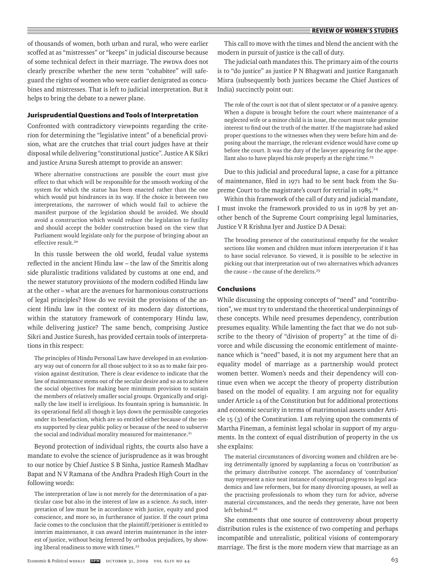of thousands of women, both urban and rural, who were earlier scoffed at as "mistresses" or "keeps" in judicial discourse because of some technical defect in their marriage. The PWDVA does not clearly prescribe whether the new term "cohabitee" will safeguard the rights of women who were earlier denigrated as concubines and mistresses. That is left to judicial interpretation. But it helps to bring the debate to a newer plane.

### **Jurisprudential Questions and Tools of Interpretation**

Confronted with contradictory viewpoints regarding the criterion for determining the "legislative intent" of a beneficial provision, what are the crutches that trial court judges have at their disposal while delivering "constitutional justice". Justice A K Sikri and justice Aruna Suresh attempt to provide an answer:

Where alternative constructions are possible the court must give effect to that which will be responsible for the smooth working of the system for which the statue has been enacted rather than the one which would put hindrances in its way. If the choice is between two interpretations, the narrower of which would fail to achieve the manifest purpose of the legislation should be avoided. We should avoid a construction which would reduce the legislation to futility and should accept the bolder construction based on the view that Parliament would legislate only for the purpose of bringing about an effective result.<sup>20</sup>

In this tussle between the old world, feudal value systems reflected in the ancient Hindu law – the law of the Smritis along side pluralistic traditions validated by customs at one end, and the newer statutory provisions of the modern codified Hindu law at the other – what are the avenues for harmonious constructions of legal principles? How do we revisit the provisions of the ancient Hindu law in the context of its modern day distortions, within the statutory framework of contemporary Hindu law, while delivering justice? The same bench, comprising Justice Sikri and Justice Suresh, has provided certain tools of interpretations in this respect:

The principles of Hindu Personal Law have developed in an evolutionary way out of concern for all those subject to it so as to make fair provision against destitution. There is clear evidence to indicate that the law of maintenance stems out of the secular desire and so as to achieve the social objectives for making bare minimum provision to sustain the members of relatively smaller social groups. Organically and originally the law itself is irreligious. Its fountain spring is humanistic. In its operational field all though it lays down the permissible categories under its benefaction, which are so entitled either because of the tenets supported by clear public policy or because of the need to subserve the social and individual morality measured for maintenance.<sup>21</sup>

Beyond protection of individual rights, the courts also have a mandate to evolve the science of jurisprudence as it was brought to our notice by Chief Justice S B Sinha, justice Ramesh Madhav Bapat and N V Ramana of the Andhra Pradesh High Court in the following words:

The interpretation of law is not merely for the determination of a particular case but also in the interest of law as a science. As such, interpretation of law must be in accordance with justice, equity and good conscience, and more so, in furtherance of justice. If the court prima facie comes to the conclusion that the plaintiff/petitioner is entitled to interim maintenance, it can award interim maintenance in the interest of justice, without being fettered by orthodox prejudices, by showing liberal readiness to move with times.<sup>22</sup>

This call to move with the times and blend the ancient with the modern in pursuit of justice is the call of duty.

The judicial oath mandates this. The primary aim of the courts is to "do justice" as justice P N Bhagwati and justice Ranganath Misra (subsequently both justices became the Chief Justices of India) succinctly point out:

The role of the court is not that of silent spectator or of a passive agency. When a dispute is brought before the court where maintenance of a neglected wife or a minor child is in issue, the court must take genuine interest to find out the truth of the matter. If the magistrate had asked proper questions to the witnesses when they were before him and deposing about the marriage, the relevant evidence would have come up before the court. It was the duty of the lawyer appearing for the appellant also to have played his role properly at the right time.<sup>23</sup>

Due to this judicial and procedural lapse, a case for a pittance of maintenance, filed in 1971 had to be sent back from the Supreme Court to the magistrate's court for retrial in 1985.<sup>24</sup>

Within this framework of the call of duty and judicial mandate, I must invoke the framework provided to us in 1978 by yet another bench of the Supreme Court comprising legal luminaries, Justice V R Krishna Iyer and Justice D A Desai:

The brooding presence of the constitutional empathy for the weaker sections like women and children must inform interpretation if it has to have social relevance. So viewed, it is possible to be selective in picking out that interpretation out of two alternatives which advances the cause – the cause of the derelicts.<sup>25</sup>

## **Conclusions**

While discussing the opposing concepts of "need" and "contribution", we must try to understand the theoretical underpinnings of these concepts. While need presumes dependency, contribution presumes equality. While lamenting the fact that we do not subscribe to the theory of "division of property" at the time of divorce and while discussing the economic entitlement of maintenance which is "need" based, it is not my argument here that an equality model of marriage as a partnership would protect women better. Women's needs and their dependency will continue even when we accept the theory of property distribution based on the model of equality. I am arguing not for equality under Article 14 of the Constitution but for additional protections and economic security in terms of matrimonial assets under Article 15 (3) of the Constitution. I am relying upon the comments of Martha Fineman, a feminist legal scholar in support of my arguments. In the context of equal distribution of property in the us she explains:

The material circumstances of divorcing women and children are being detrimentally ignored by supplanting a focus on 'contribution' as the primary distributive concept. The ascendancy of 'contribution' may represent a nice neat instance of conceptual progress to legal academics and law reformers, but for many divorcing spouses, as well as the practising professionals to whom they turn for advice, adverse material circumstances, and the needs they generate, have not been left behind.<sup>26</sup>

She comments that one source of controversy about property distribution rules is the existence of two competing and perhaps incompatible and unrealistic, political visions of contemporary marriage. The first is the more modern view that marriage as an